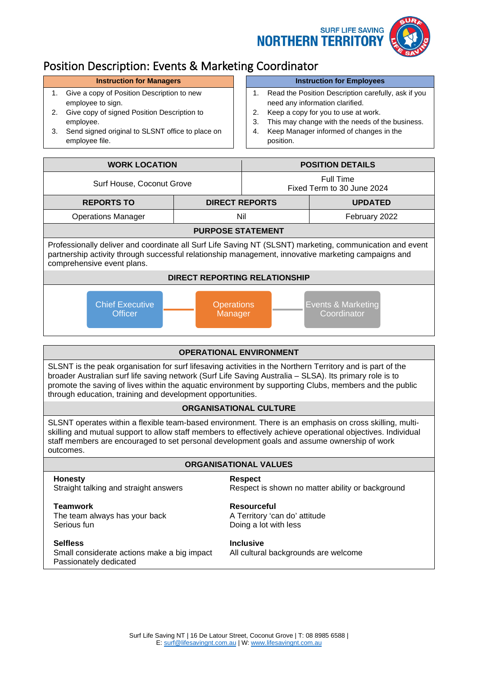



# Position Description: Events & Marketing Coordinator

- 1. Give a copy of Position Description to new employee to sign.
- 2. Give copy of signed Position Description to employee.
- 3. Send signed original to SLSNT office to place on employee file.

### **Instruction for Managers Instruction for Employees**

- 1. Read the Position Description carefully, ask if you need any information clarified.
- 2. Keep a copy for you to use at work.
- 3. This may change with the needs of the business.
- 4. Keep Manager informed of changes in the position.

| <b>WORK LOCATION</b>                                                                                                                                                                                                                          |                              | <b>POSITION DETAILS</b>                 |                                   |  |
|-----------------------------------------------------------------------------------------------------------------------------------------------------------------------------------------------------------------------------------------------|------------------------------|-----------------------------------------|-----------------------------------|--|
| Surf House, Coconut Grove                                                                                                                                                                                                                     |                              | Full Time<br>Fixed Term to 30 June 2024 |                                   |  |
| <b>REPORTS TO</b>                                                                                                                                                                                                                             | <b>DIRECT REPORTS</b>        |                                         | <b>UPDATED</b>                    |  |
| <b>Operations Manager</b>                                                                                                                                                                                                                     | Nil                          |                                         | February 2022                     |  |
| <b>PURPOSE STATEMENT</b>                                                                                                                                                                                                                      |                              |                                         |                                   |  |
| Professionally deliver and coordinate all Surf Life Saving NT (SLSNT) marketing, communication and event<br>partnership activity through successful relationship management, innovative marketing campaigns and<br>comprehensive event plans. |                              |                                         |                                   |  |
| <b>DIRECT REPORTING RELATIONSHIP</b>                                                                                                                                                                                                          |                              |                                         |                                   |  |
| <b>Chief Executive</b><br><b>Officer</b>                                                                                                                                                                                                      | <b>Operations</b><br>Manager |                                         | Events & Marketing<br>Coordinator |  |

# **OPERATIONAL ENVIRONMENT**

SLSNT is the peak organisation for surf lifesaving activities in the Northern Territory and is part of the broader Australian surf life saving network (Surf Life Saving Australia – SLSA). Its primary role is to promote the saving of lives within the aquatic environment by supporting Clubs, members and the public through education, training and development opportunities.

# **ORGANISATIONAL CULTURE**

SLSNT operates within a flexible team-based environment. There is an emphasis on cross skilling, multiskilling and mutual support to allow staff members to effectively achieve operational objectives. Individual staff members are encouraged to set personal development goals and assume ownership of work outcomes.

# **ORGANISATIONAL VALUES**

**Honesty** Respect<br>Straight talking and straight answers Respect in Respect in Respect in Respect in Respect in Respect in Respect in Respect in Respect in Respect in Respect in Respect in Respect in Respect in Respect in R

**Teamwork**<br>
The team always has your back<br>  $\begin{array}{ccc}\n\cdot & \cdot & \cdot \\
\cdot & \cdot & \cdot \\
\cdot & \cdot & \cdot \\
\cdot & \cdot & \cdot \\
\cdot & \cdot & \cdot\n\end{array}$ The team always has your back Serious fun<br>
Serious function of the Doing a lot with less

**Selfless**<br>
Small considerate actions make a big impact All cultural backgrounds are welcome Small considerate actions make a big impact Passionately dedicated

Respect is shown no matter ability or background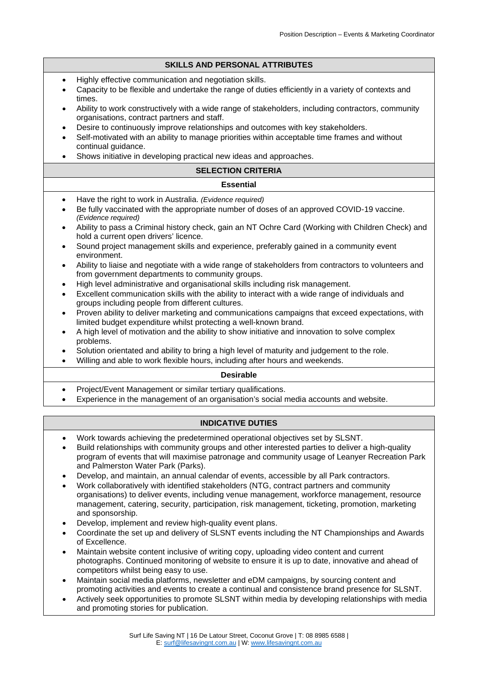#### **SKILLS AND PERSONAL ATTRIBUTES**

- Highly effective communication and negotiation skills.
- Capacity to be flexible and undertake the range of duties efficiently in a variety of contexts and times.
- Ability to work constructively with a wide range of stakeholders, including contractors, community organisations, contract partners and staff.
- Desire to continuously improve relationships and outcomes with key stakeholders.
- Self-motivated with an ability to manage priorities within acceptable time frames and without continual guidance.
- Shows initiative in developing practical new ideas and approaches.

#### **SELECTION CRITERIA**

#### **Essential**

- Have the right to work in Australia. *(Evidence required)*
- Be fully vaccinated with the appropriate number of doses of an approved COVID-19 vaccine. *(Evidence required)*
- Ability to pass a Criminal history check, gain an NT Ochre Card (Working with Children Check) and hold a current open drivers' licence.
- Sound project management skills and experience, preferably gained in a community event environment.
- Ability to liaise and negotiate with a wide range of stakeholders from contractors to volunteers and from government departments to community groups.
- High level administrative and organisational skills including risk management.
- Excellent communication skills with the ability to interact with a wide range of individuals and groups including people from different cultures.
- Proven ability to deliver marketing and communications campaigns that exceed expectations, with limited budget expenditure whilst protecting a well-known brand.
- A high level of motivation and the ability to show initiative and innovation to solve complex problems.
- Solution orientated and ability to bring a high level of maturity and judgement to the role.
- Willing and able to work flexible hours, including after hours and weekends.

#### **Desirable**

- Project/Event Management or similar tertiary qualifications.
- Experience in the management of an organisation's social media accounts and website.

### **INDICATIVE DUTIES**

- Work towards achieving the predetermined operational objectives set by SLSNT.
- Build relationships with community groups and other interested parties to deliver a high-quality program of events that will maximise patronage and community usage of Leanyer Recreation Park and Palmerston Water Park (Parks).
- Develop, and maintain, an annual calendar of events, accessible by all Park contractors.
- Work collaboratively with identified stakeholders (NTG, contract partners and community organisations) to deliver events, including venue management, workforce management, resource management, catering, security, participation, risk management, ticketing, promotion, marketing and sponsorship.
- Develop, implement and review high-quality event plans.
- Coordinate the set up and delivery of SLSNT events including the NT Championships and Awards of Excellence.
- Maintain website content inclusive of writing copy, uploading video content and current photographs. Continued monitoring of website to ensure it is up to date, innovative and ahead of competitors whilst being easy to use.
- Maintain social media platforms, newsletter and eDM campaigns, by sourcing content and promoting activities and events to create a continual and consistence brand presence for SLSNT.
- Actively seek opportunities to promote SLSNT within media by developing relationships with media and promoting stories for publication.